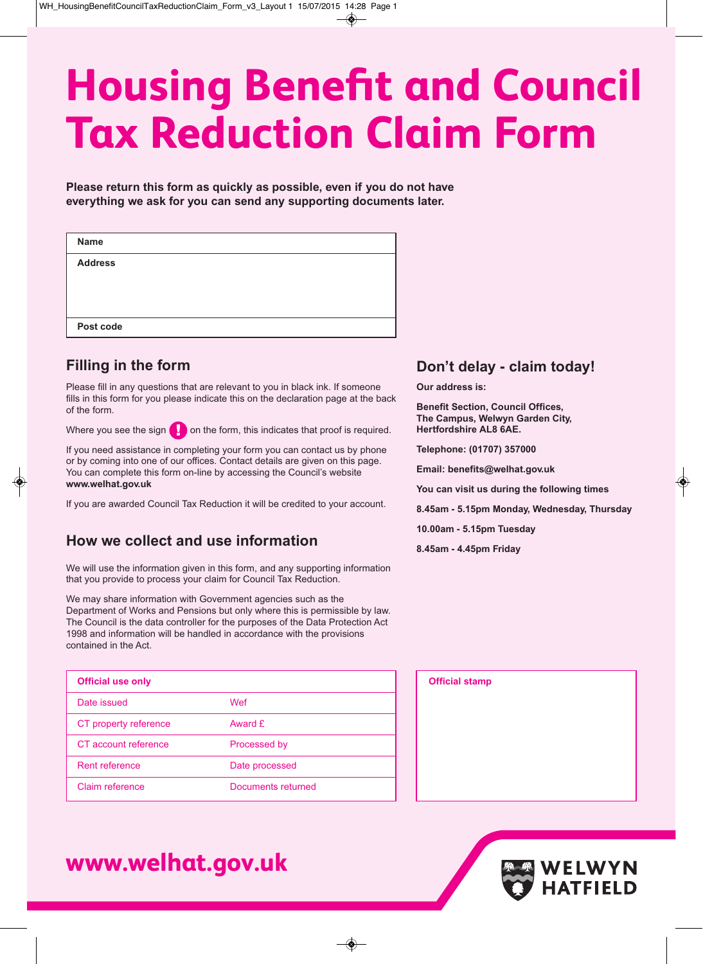# **Housing Benefit and Council Tax Reduction Claim Form**

**Please return this form as quickly as possible, even if you do not have everything we ask for you can send any supporting documents later.**

| <b>Name</b>    |  |  |  |
|----------------|--|--|--|
| <b>Address</b> |  |  |  |
|                |  |  |  |
|                |  |  |  |
| Post code      |  |  |  |

### **Filling in the form**

Please fill in any questions that are relevant to you in black ink. If someone fills in this form for you please indicate this on the declaration page at the back of the form.

Where you see the sign  $\Box$  on the form, this indicates that proof is required.

If you need assistance in completing your form you can contact us by phone or by coming into one of our offices. Contact details are given on this page. You can complete this form on-line by accessing the Council's website **www.welhat.gov.uk**

If you are awarded Council Tax Reduction it will be credited to your account.

### **How we collect and use information**

We will use the information given in this form, and any supporting information that you provide to process your claim for Council Tax Reduction.

We may share information with Government agencies such as the Department of Works and Pensions but only where this is permissible by law. The Council is the data controller for the purposes of the Data Protection Act 1998 and information will be handled in accordance with the provisions contained in the Act.

| <b>Official use only</b> |                    |
|--------------------------|--------------------|
| Date issued              | Wef                |
| CT property reference    | Award £            |
| CT account reference     | Processed by       |
| Rent reference           | Date processed     |
| Claim reference          | Documents returned |

# **www.welhat.gov.uk**

### **Don't delay - claim today!**

**Our address is:**

**Benefit Section, Council Offices, The Campus, Welwyn Garden City, Hertfordshire AL8 6AE.**

**Telephone: (01707) 357000**

**Email: benefits@welhat.gov.uk**

**You can visit us during the following times**

**8.45am - 5.15pm Monday, Wednesday, Thursday**

**10.00am - 5.15pm Tuesday**

**8.45am - 4.45pm Friday**



WELWYN

**HATFIELD**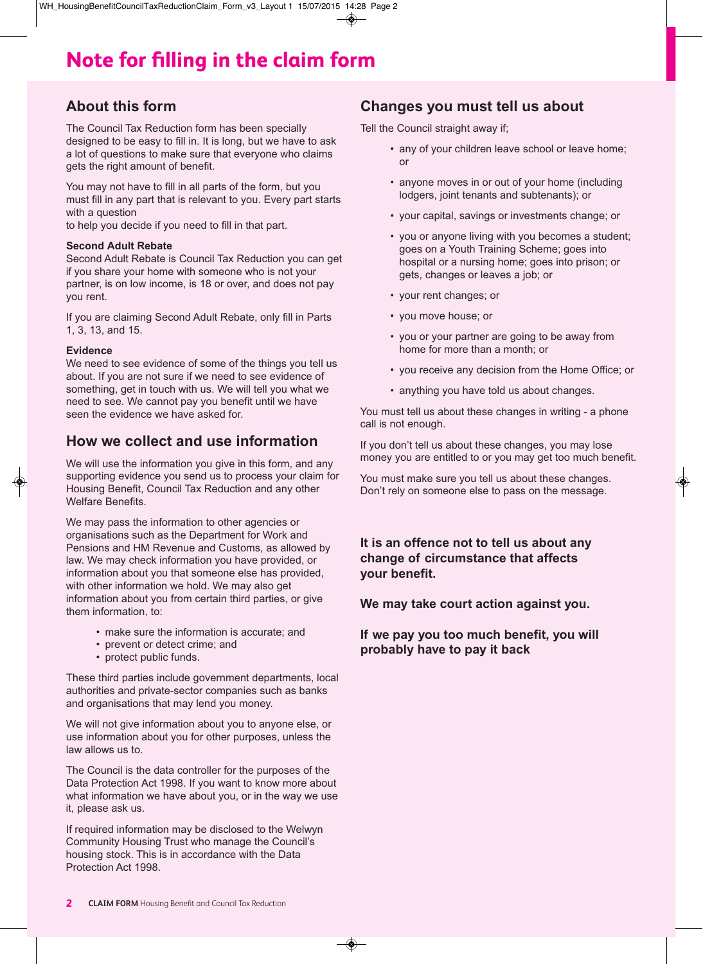# **Note for filling in the claim form**

### **About this form**

The Council Tax Reduction form has been specially designed to be easy to fill in. It is long, but we have to ask a lot of questions to make sure that everyone who claims gets the right amount of benefit.

You may not have to fill in all parts of the form, but you must fill in any part that is relevant to you. Every part starts with a question

to help you decide if you need to fill in that part.

### **Second Adult Rebate**

Second Adult Rebate is Council Tax Reduction you can get if you share your home with someone who is not your partner, is on low income, is 18 or over, and does not pay you rent.

If you are claiming Second Adult Rebate, only fill in Parts 1, 3, 13, and 15.

### **Evidence**

We need to see evidence of some of the things you tell us about. If you are not sure if we need to see evidence of something, get in touch with us. We will tell you what we need to see. We cannot pay you benefit until we have seen the evidence we have asked for.

### **How we collect and use information**

We will use the information you give in this form, and any supporting evidence you send us to process your claim for Housing Benefit, Council Tax Reduction and any other Welfare Benefits.

We may pass the information to other agencies or organisations such as the Department for Work and Pensions and HM Revenue and Customs, as allowed by law. We may check information you have provided, or information about you that someone else has provided, with other information we hold. We may also get information about you from certain third parties, or give them information, to:

- make sure the information is accurate; and
- prevent or detect crime; and
- protect public funds.

These third parties include government departments, local authorities and private-sector companies such as banks and organisations that may lend you money.

We will not give information about you to anyone else, or use information about you for other purposes, unless the law allows us to.

The Council is the data controller for the purposes of the Data Protection Act 1998. If you want to know more about what information we have about you, or in the way we use it, please ask us.

If required information may be disclosed to the Welwyn Community Housing Trust who manage the Council's housing stock. This is in accordance with the Data Protection Act 1998.

### **Changes you must tell us about**

Tell the Council straight away if;

- any of your children leave school or leave home; or
- anyone moves in or out of your home (including lodgers, joint tenants and subtenants); or
- your capital, savings or investments change; or
- you or anyone living with you becomes a student; goes on a Youth Training Scheme; goes into hospital or a nursing home; goes into prison; or gets, changes or leaves a job; or
- your rent changes; or
- you move house; or
- you or your partner are going to be away from home for more than a month; or
- you receive any decision from the Home Office; or
- anything you have told us about changes.

You must tell us about these changes in writing - a phone call is not enough.

If you don't tell us about these changes, you may lose money you are entitled to or you may get too much benefit.

You must make sure you tell us about these changes. Don't rely on someone else to pass on the message.

### **It is an offence not to tell us about any change of circumstance that affects your benefit.**

**We may take court action against you.**

**If we pay you too much benefit, you will probably have to pay it back**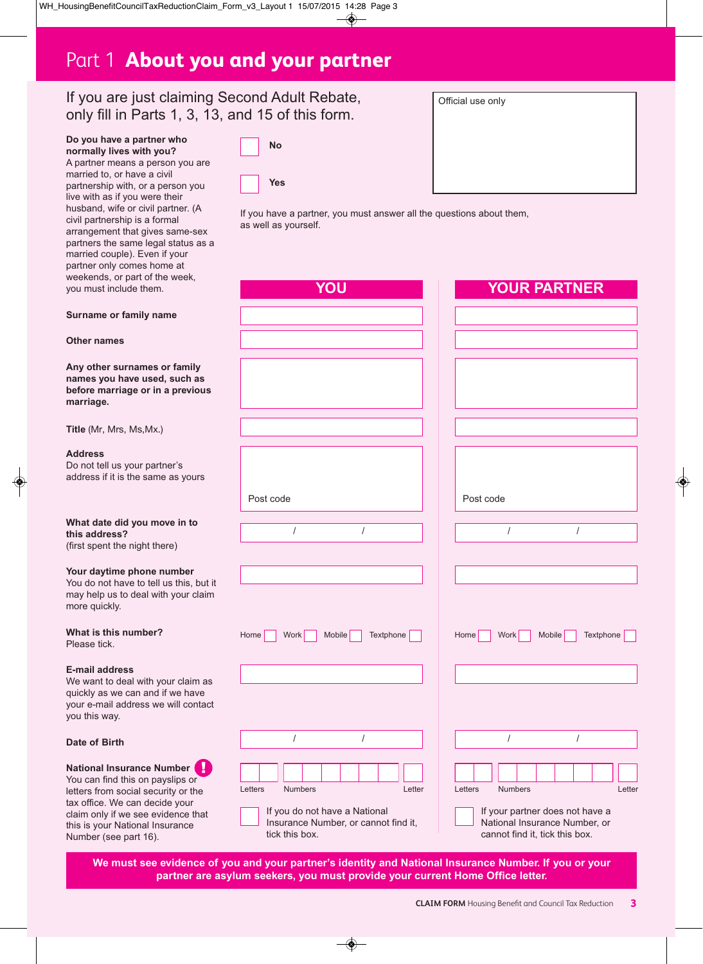# Part 1 **About you and your partner**

**No**

**Yes**

### If you are just claiming Second Adult Rebate, only fill in Parts 1, 3, 13, and 15 of this form.

**Do you have a partner who normally lives with you?** A partner means a person you are married to, or have a civil partnership with, or a person you live with as if you were their husband, wife or civil partner. (A civil partnership is a formal arrangement that gives same-sex partners the same legal status as a married couple). Even if your partner only comes home at weekends, or you must incl

| Official use only |  |
|-------------------|--|
|                   |  |
|                   |  |
|                   |  |
|                   |  |
|                   |  |
|                   |  |

If you have a partner, you must answer all the questions about them, as well as yourself.

| part of the week,<br>ude them.                                                                                                             | YOU                                                                                                                            | <b>YOUR PARTNER</b>                                                                                                                       |
|--------------------------------------------------------------------------------------------------------------------------------------------|--------------------------------------------------------------------------------------------------------------------------------|-------------------------------------------------------------------------------------------------------------------------------------------|
| family name                                                                                                                                |                                                                                                                                |                                                                                                                                           |
|                                                                                                                                            |                                                                                                                                |                                                                                                                                           |
| <b>urnames or family</b><br>ave used, such as<br>age or in a previous                                                                      |                                                                                                                                |                                                                                                                                           |
| s, Ms,Mx.)                                                                                                                                 |                                                                                                                                |                                                                                                                                           |
| your partner's<br>s the same as yours                                                                                                      |                                                                                                                                |                                                                                                                                           |
|                                                                                                                                            | Post code                                                                                                                      | Post code                                                                                                                                 |
| id you move in to<br>e night there)                                                                                                        | $\prime$<br>$\prime$                                                                                                           | $\prime$<br>$\prime$                                                                                                                      |
| e phone number<br>ave to tell us this, but it<br>to deal with your claim                                                                   |                                                                                                                                |                                                                                                                                           |
| number?                                                                                                                                    | Textphone<br>Home<br>Work<br>Mobile                                                                                            | Textphone<br>Home<br>Work  <br>Mobile                                                                                                     |
| <b>SS</b><br>eal with your claim as<br>can and if we have<br>ddress we will contact                                                        |                                                                                                                                |                                                                                                                                           |
|                                                                                                                                            | $\prime$<br>$\prime$                                                                                                           | $\prime$<br>$\prime$                                                                                                                      |
| urance Number<br>this on payslips or<br>ocial security or the<br>can decide your<br>ve see evidence that<br>ational Insurance<br>part 16). | Letters<br><b>Numbers</b><br>Letter<br>If you do not have a National<br>Insurance Number, or cannot find it,<br>tick this box. | Letters<br><b>Numbers</b><br>Letter<br>If your partner does not have a<br>National Insurance Number, or<br>cannot find it, tick this box. |

**We must see evidence of you and your partner's identity and National Insurance Number. If you or your partner are asylum seekers, you must provide your current Home Office letter.** 

#### **Surname or**

**Other names**

**Any other sure names you h before marria marriage.**

**Title** (Mr, Mrs

#### **Address**

Do not tell us address if it is

#### **What date did this address?** (first spent the

### **Your daytime**

You do not ha may help us t more quickly.

**What is this** Please tick.

#### **E-mail addres**

We want to deal quickly as we your e-mail a you this way.

### **Date of Birth**

**National Inst** You can find letters from set tax office. We claim only if w this is your N Number (see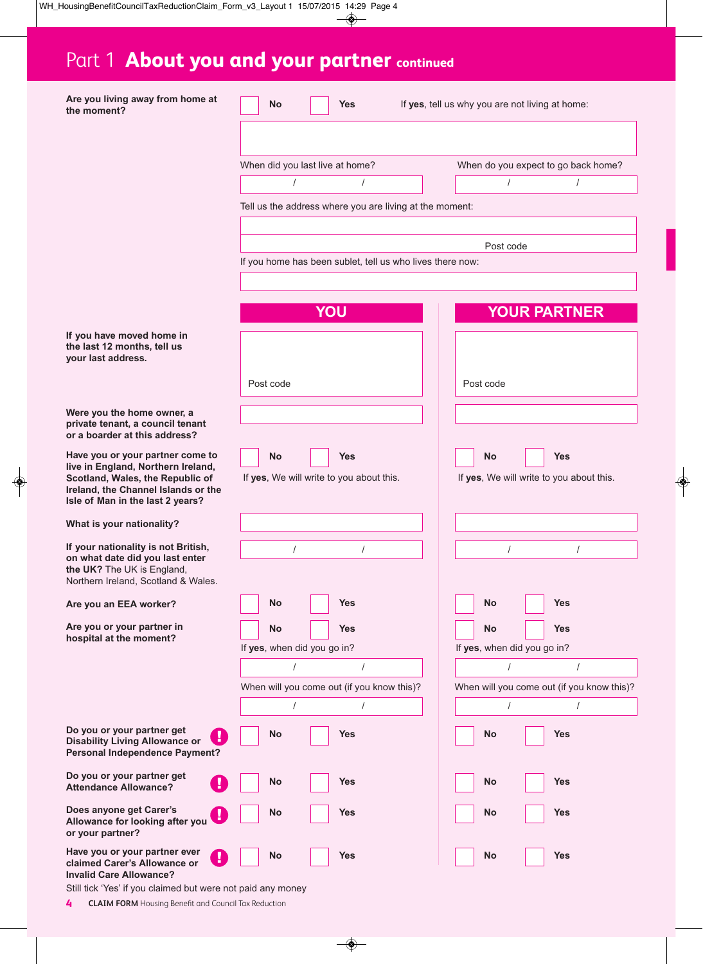# Part 1 **About you and your partner continued**

| Are you living away from home at<br>the moment?                                                                                                                                       | No                              |     | <b>Yes</b>                                                | If yes, tell us why you are not living at home: |                             |                                                        |
|---------------------------------------------------------------------------------------------------------------------------------------------------------------------------------------|---------------------------------|-----|-----------------------------------------------------------|-------------------------------------------------|-----------------------------|--------------------------------------------------------|
|                                                                                                                                                                                       |                                 |     |                                                           |                                                 |                             |                                                        |
|                                                                                                                                                                                       | When did you last live at home? |     |                                                           |                                                 |                             | When do you expect to go back home?                    |
|                                                                                                                                                                                       |                                 |     | 1                                                         |                                                 |                             |                                                        |
|                                                                                                                                                                                       |                                 |     | Tell us the address where you are living at the moment:   |                                                 |                             |                                                        |
|                                                                                                                                                                                       |                                 |     |                                                           |                                                 |                             |                                                        |
|                                                                                                                                                                                       |                                 |     |                                                           |                                                 | Post code                   |                                                        |
|                                                                                                                                                                                       |                                 |     | If you home has been sublet, tell us who lives there now: |                                                 |                             |                                                        |
|                                                                                                                                                                                       |                                 |     |                                                           |                                                 |                             |                                                        |
|                                                                                                                                                                                       |                                 | YOU |                                                           |                                                 |                             | <b>YOUR PARTNER</b>                                    |
| If you have moved home in<br>the last 12 months, tell us<br>your last address.                                                                                                        |                                 |     |                                                           |                                                 |                             |                                                        |
|                                                                                                                                                                                       | Post code                       |     |                                                           |                                                 | Post code                   |                                                        |
| Were you the home owner, a<br>private tenant, a council tenant<br>or a boarder at this address?                                                                                       |                                 |     |                                                           |                                                 |                             |                                                        |
| Have you or your partner come to<br>live in England, Northern Ireland,<br>Scotland, Wales, the Republic of<br>Ireland, the Channel Islands or the<br>Isle of Man in the last 2 years? | No                              |     | <b>Yes</b><br>If yes, We will write to you about this.    |                                                 | <b>No</b>                   | <b>Yes</b><br>If yes, We will write to you about this. |
| What is your nationality?                                                                                                                                                             |                                 |     |                                                           |                                                 |                             |                                                        |
| If your nationality is not British,                                                                                                                                                   |                                 |     | $\prime$                                                  |                                                 | $\prime$                    |                                                        |
| on what date did you last enter<br>the UK? The UK is England,<br>Northern Ireland, Scotland & Wales.                                                                                  |                                 |     |                                                           |                                                 |                             |                                                        |
| Are you an EEA worker?                                                                                                                                                                | No                              |     | <b>Yes</b>                                                |                                                 | <b>No</b>                   | <b>Yes</b>                                             |
| Are you or your partner in<br>hospital at the moment?                                                                                                                                 | No                              |     | <b>Yes</b>                                                |                                                 | <b>No</b>                   | <b>Yes</b>                                             |
|                                                                                                                                                                                       | If yes, when did you go in?     |     |                                                           |                                                 | If yes, when did you go in? |                                                        |
|                                                                                                                                                                                       | $\prime$                        |     | $\sqrt{2}$                                                |                                                 | $\prime$                    | $\sqrt{ }$                                             |
|                                                                                                                                                                                       |                                 |     | When will you come out (if you know this)?                |                                                 |                             | When will you come out (if you know this)?             |
|                                                                                                                                                                                       | $\sqrt{ }$                      |     | $\prime$                                                  |                                                 | $\sqrt{2}$                  | $\sqrt{ }$                                             |
| Do you or your partner get<br>П<br><b>Disability Living Allowance or</b><br><b>Personal Independence Payment?</b>                                                                     | No                              |     | <b>Yes</b>                                                |                                                 | <b>No</b>                   | <b>Yes</b>                                             |
| Do you or your partner get<br><b>Attendance Allowance?</b>                                                                                                                            | No                              |     | <b>Yes</b>                                                |                                                 | <b>No</b>                   | <b>Yes</b>                                             |
| Does anyone get Carer's<br>Allowance for looking after you<br>or your partner?                                                                                                        | No                              |     | <b>Yes</b>                                                |                                                 | No                          | <b>Yes</b>                                             |
| Have you or your partner ever<br>claimed Carer's Allowance or<br><b>Invalid Care Allowance?</b>                                                                                       | No                              |     | <b>Yes</b>                                                |                                                 | <b>No</b>                   | <b>Yes</b>                                             |

Still tick 'Yes' if you claimed but were not paid any money

**4 CLAIM FORM** Housing Benefit and Council Tax Reduction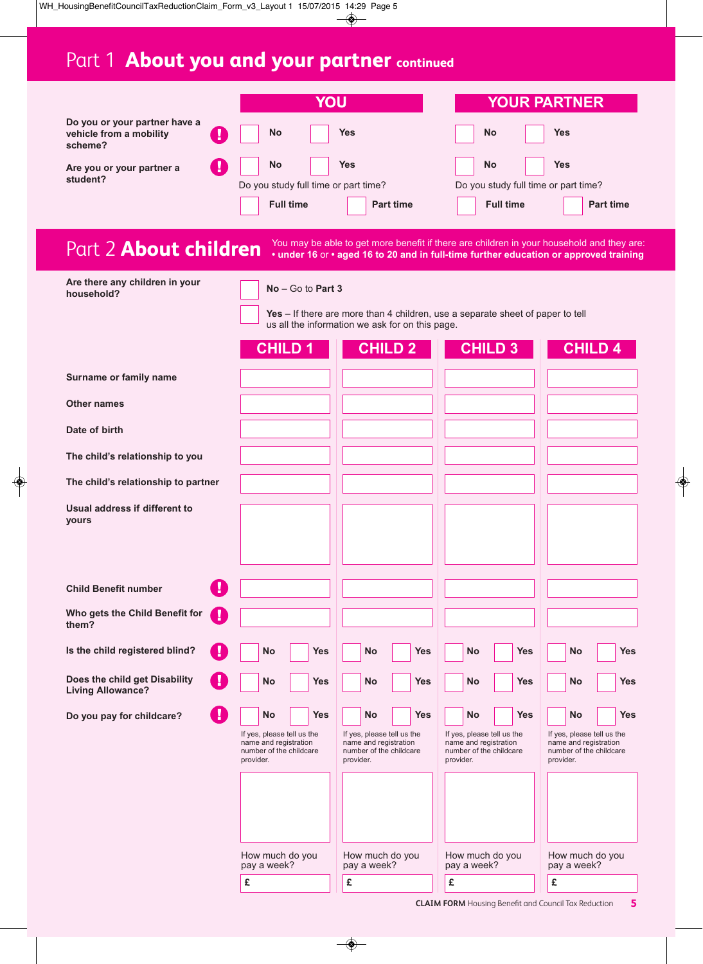# Part 1 **About you and your partner continued**

|                                                                     | YOU                                                                                                                    |                                                                                                                        |                                                                                                                                                                                    | <b>YOUR PARTNER</b>                                                                                                    |
|---------------------------------------------------------------------|------------------------------------------------------------------------------------------------------------------------|------------------------------------------------------------------------------------------------------------------------|------------------------------------------------------------------------------------------------------------------------------------------------------------------------------------|------------------------------------------------------------------------------------------------------------------------|
| Do you or your partner have a<br>vehicle from a mobility<br>scheme? | No                                                                                                                     | <b>Yes</b>                                                                                                             | No                                                                                                                                                                                 | <b>Yes</b>                                                                                                             |
| Are you or your partner a<br>student?                               | <b>No</b><br>Do you study full time or part time?<br><b>Full time</b>                                                  | <b>Yes</b><br><b>Part time</b>                                                                                         | <b>No</b><br>Do you study full time or part time?<br><b>Full time</b>                                                                                                              | <b>Yes</b><br><b>Part time</b>                                                                                         |
| Part 2 <b>About children</b>                                        |                                                                                                                        |                                                                                                                        | You may be able to get more benefit if there are children in your household and they are:<br>• under 16 or • aged 16 to 20 and in full-time further education or approved training |                                                                                                                        |
| Are there any children in your<br>household?                        | $No - Go$ to Part 3<br><b>CHILD1</b>                                                                                   | us all the information we ask for on this page.<br><b>CHILD 2</b>                                                      | Yes - If there are more than 4 children, use a separate sheet of paper to tell<br><b>CHILD 3</b>                                                                                   | <b>CHILD 4</b>                                                                                                         |
| Surname or family name                                              |                                                                                                                        |                                                                                                                        |                                                                                                                                                                                    |                                                                                                                        |
| Other names                                                         |                                                                                                                        |                                                                                                                        |                                                                                                                                                                                    |                                                                                                                        |
| Date of birth                                                       |                                                                                                                        |                                                                                                                        |                                                                                                                                                                                    |                                                                                                                        |
| The child's relationship to you                                     |                                                                                                                        |                                                                                                                        |                                                                                                                                                                                    |                                                                                                                        |
| The child's relationship to partner                                 |                                                                                                                        |                                                                                                                        |                                                                                                                                                                                    |                                                                                                                        |
| Usual address if different to<br>yours                              |                                                                                                                        |                                                                                                                        |                                                                                                                                                                                    |                                                                                                                        |
| <b>Child Benefit number</b>                                         |                                                                                                                        |                                                                                                                        |                                                                                                                                                                                    |                                                                                                                        |
| Who gets the Child Benefit for<br>Ţ<br>them?                        |                                                                                                                        |                                                                                                                        |                                                                                                                                                                                    |                                                                                                                        |
| Is the child registered blind?                                      | <b>Yes</b><br>No                                                                                                       | <b>No</b><br><b>Yes</b>                                                                                                | <b>No</b><br><b>Yes</b>                                                                                                                                                            | <b>No</b><br><b>Yes</b>                                                                                                |
| Does the child get Disability<br><b>Living Allowance?</b>           | <b>No</b><br><b>Yes</b>                                                                                                | <b>No</b><br><b>Yes</b>                                                                                                | <b>Yes</b><br><b>No</b>                                                                                                                                                            | <b>No</b><br><b>Yes</b>                                                                                                |
| Do you pay for childcare?                                           | <b>Yes</b><br><b>No</b><br>If yes, please tell us the<br>name and registration<br>number of the childcare<br>provider. | <b>No</b><br><b>Yes</b><br>If yes, please tell us the<br>name and registration<br>number of the childcare<br>provider. | <b>No</b><br><b>Yes</b><br>If yes, please tell us the<br>name and registration<br>number of the childcare<br>provider.                                                             | <b>No</b><br><b>Yes</b><br>If yes, please tell us the<br>name and registration<br>number of the childcare<br>provider. |
|                                                                     | How much do you<br>pay a week?                                                                                         | How much do you<br>pay a week?                                                                                         | How much do you<br>pay a week?                                                                                                                                                     | How much do you<br>pay a week?                                                                                         |
|                                                                     | £                                                                                                                      | £                                                                                                                      | £                                                                                                                                                                                  | £                                                                                                                      |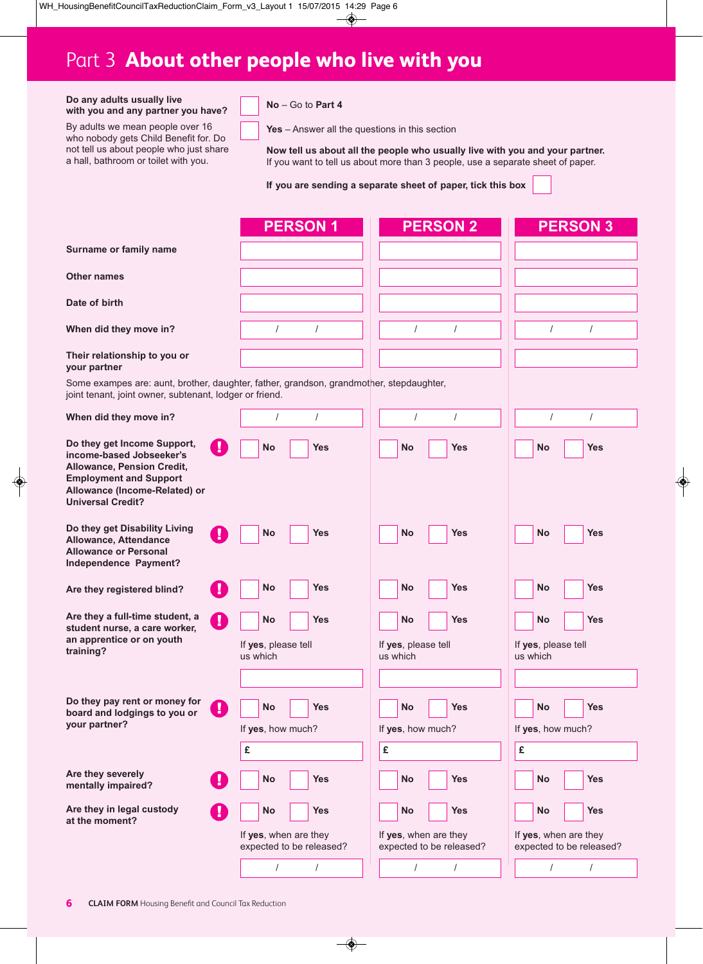# Part 3 **About other people who live with you**

| Do any adults usually live         |  |  |  |  |  |
|------------------------------------|--|--|--|--|--|
| with you and any partner you have? |  |  |  |  |  |

By adults we mean people over 16 who nobody gets Child Benefit for. Do not tell us about people who just share a hall, bathroom or toilet with you.

### **No** – Go to **Part 4**

**Yes** – Answer all the questions in this section

**Now tell us about all the people who usually live with you and your partner.** If you want to tell us about more than 3 people, use a separate sheet of paper.

**If you are sending a separate sheet of paper, tick this box**

|                                                                                                                                                                                     | <b>PERSON1</b>                                                                                       | <b>PERSON 2</b>                                                                                      | <b>PERSON 3</b>                                                                               |
|-------------------------------------------------------------------------------------------------------------------------------------------------------------------------------------|------------------------------------------------------------------------------------------------------|------------------------------------------------------------------------------------------------------|-----------------------------------------------------------------------------------------------|
| Surname or family name                                                                                                                                                              |                                                                                                      |                                                                                                      |                                                                                               |
| <b>Other names</b>                                                                                                                                                                  |                                                                                                      |                                                                                                      |                                                                                               |
| Date of birth                                                                                                                                                                       |                                                                                                      |                                                                                                      |                                                                                               |
| When did they move in?                                                                                                                                                              | $\prime$<br>$\prime$                                                                                 | $\prime$<br>$\prime$                                                                                 | $\prime$<br>$\prime$                                                                          |
| Their relationship to you or<br>your partner                                                                                                                                        |                                                                                                      |                                                                                                      |                                                                                               |
| joint tenant, joint owner, subtenant, lodger or friend.                                                                                                                             | Some exampes are: aunt, brother, daughter, father, grandson, grandmother, stepdaughter,              |                                                                                                      |                                                                                               |
| When did they move in?                                                                                                                                                              | $\prime$<br>1                                                                                        | $\prime$<br>1                                                                                        | $\prime$<br>$\prime$                                                                          |
| Do they get Income Support,<br>income-based Jobseeker's<br>Allowance, Pension Credit,<br><b>Employment and Support</b><br>Allowance (Income-Related) or<br><b>Universal Credit?</b> | $\bf{T}$<br><b>No</b><br><b>Yes</b>                                                                  | <b>No</b><br><b>Yes</b>                                                                              | <b>Yes</b><br>No                                                                              |
| Do they get Disability Living<br>Allowance, Attendance<br><b>Allowance or Personal</b><br>Independence Payment?                                                                     | M.<br><b>No</b><br><b>Yes</b>                                                                        | <b>No</b><br><b>Yes</b>                                                                              | <b>No</b><br>Yes                                                                              |
| Are they registered blind?                                                                                                                                                          | и<br><b>No</b><br><b>Yes</b>                                                                         | <b>No</b><br><b>Yes</b>                                                                              | <b>Yes</b><br>No                                                                              |
| Are they a full-time student, a<br>student nurse, a care worker,<br>an apprentice or on youth<br>training?                                                                          | Ø<br><b>No</b><br><b>Yes</b><br>If yes, please tell<br>us which                                      | <b>No</b><br><b>Yes</b><br>If yes, please tell<br>us which                                           | <b>Yes</b><br>No<br>If yes, please tell<br>us which                                           |
| Do they pay rent or money for<br>board and lodgings to you or<br>your partner?                                                                                                      | $\boldsymbol{\theta}$<br><b>No</b><br><b>Yes</b><br>If yes, how much?<br>£                           | <b>No</b><br><b>Yes</b><br>If yes, how much?<br>£                                                    | <b>Yes</b><br><b>No</b><br>If yes, how much?<br>£                                             |
| Are they severely<br>mentally impaired?                                                                                                                                             | <b>Yes</b><br>No                                                                                     | <b>Yes</b><br><b>No</b>                                                                              | <b>Yes</b><br>No                                                                              |
| Are they in legal custody<br>at the moment?                                                                                                                                         | <b>No</b><br><b>Yes</b><br>If yes, when are they<br>expected to be released?<br>$\prime$<br>$\prime$ | <b>No</b><br><b>Yes</b><br>If yes, when are they<br>expected to be released?<br>$\prime$<br>$\prime$ | <b>Yes</b><br>No<br>If yes, when are they<br>expected to be released?<br>$\prime$<br>$\prime$ |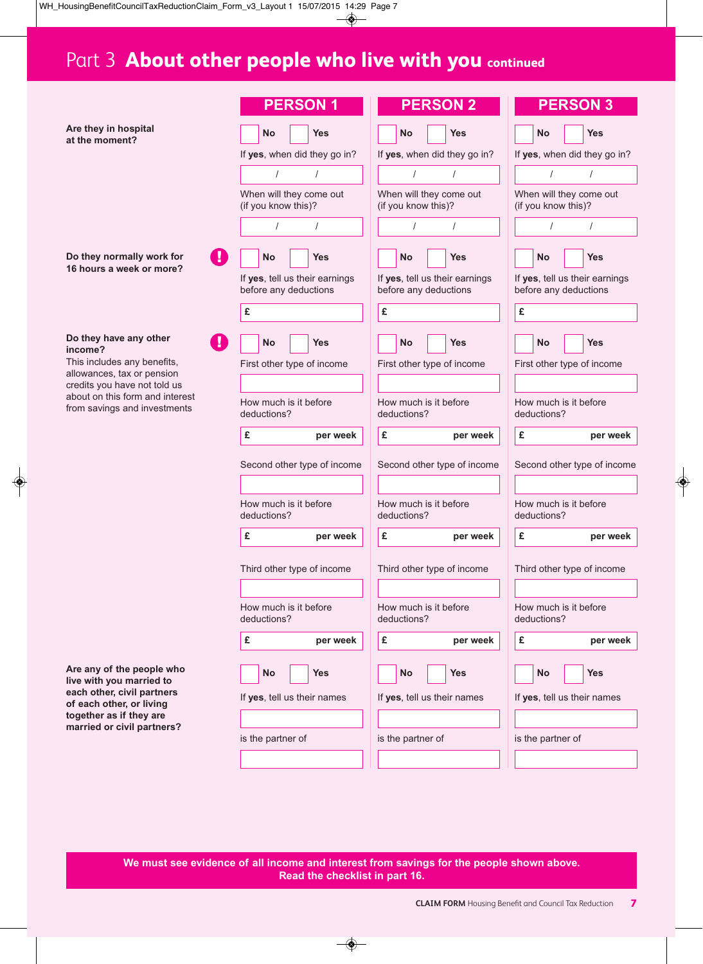# Part 3 **About other people who live with you continued**

|                                                                                                 |    | <b>PERSON1</b>                                          |                                      |   |                                                | <b>PERSON 2</b>                      |   |                                                | <b>PERSON 3</b>                                         |  |
|-------------------------------------------------------------------------------------------------|----|---------------------------------------------------------|--------------------------------------|---|------------------------------------------------|--------------------------------------|---|------------------------------------------------|---------------------------------------------------------|--|
| Are they in hospital<br>at the moment?                                                          |    | <b>No</b>                                               | <b>Yes</b>                           |   | <b>No</b>                                      | <b>Yes</b>                           |   | <b>No</b>                                      | <b>Yes</b>                                              |  |
|                                                                                                 |    | If yes, when did they go in?                            |                                      |   |                                                | If yes, when did they go in?         |   |                                                | If yes, when did they go in?                            |  |
|                                                                                                 |    | $\prime$                                                | $\prime$                             |   | $\prime$                                       | $\prime$                             |   | $\prime$                                       | $\prime$                                                |  |
|                                                                                                 |    | When will they come out<br>(if you know this)?          |                                      |   | When will they come out<br>(if you know this)? |                                      |   | When will they come out<br>(if you know this)? |                                                         |  |
|                                                                                                 |    | $\prime$                                                |                                      |   | $\prime$                                       |                                      |   |                                                |                                                         |  |
| Do they normally work for<br>16 hours a week or more?                                           |    | <b>No</b>                                               | <b>Yes</b>                           |   | <b>No</b>                                      | <b>Yes</b>                           |   | <b>No</b>                                      | <b>Yes</b>                                              |  |
|                                                                                                 |    | If yes, tell us their earnings<br>before any deductions |                                      |   | before any deductions                          | If yes, tell us their earnings       |   |                                                | If yes, tell us their earnings<br>before any deductions |  |
|                                                                                                 |    | £                                                       |                                      | £ |                                                |                                      | £ |                                                |                                                         |  |
| Do they have any other<br>income?                                                               | ч. | <b>No</b>                                               | <b>Yes</b>                           |   | <b>No</b>                                      | <b>Yes</b>                           |   | <b>No</b>                                      | <b>Yes</b>                                              |  |
| This includes any benefits,<br>allowances, tax or pension                                       |    | First other type of income                              |                                      |   |                                                | First other type of income           |   |                                                | First other type of income                              |  |
| credits you have not told us<br>about on this form and interest<br>from savings and investments |    |                                                         |                                      |   |                                                |                                      |   |                                                |                                                         |  |
|                                                                                                 |    | How much is it before<br>deductions?                    |                                      |   | How much is it before<br>deductions?           |                                      |   | deductions?                                    | How much is it before                                   |  |
|                                                                                                 |    | £                                                       | per week                             | £ |                                                | per week                             | £ |                                                | per week                                                |  |
|                                                                                                 |    | Second other type of income                             |                                      |   |                                                | Second other type of income          |   |                                                | Second other type of income                             |  |
|                                                                                                 |    | How much is it before<br>deductions?                    |                                      |   | How much is it before<br>deductions?           |                                      |   | deductions?                                    | How much is it before                                   |  |
|                                                                                                 |    | £                                                       | per week                             | £ |                                                | per week                             | £ |                                                | per week                                                |  |
|                                                                                                 |    | Third other type of income                              |                                      |   |                                                | Third other type of income           |   |                                                | Third other type of income                              |  |
|                                                                                                 |    | How much is it before<br>deductions?                    | How much is it before<br>deductions? |   |                                                | How much is it before<br>deductions? |   |                                                |                                                         |  |
|                                                                                                 |    | £                                                       | per week                             | £ |                                                | per week                             | £ |                                                | per week                                                |  |
| Are any of the people who                                                                       |    | <b>No</b>                                               | <b>Yes</b>                           |   | No                                             | <b>Yes</b>                           |   | <b>No</b>                                      | <b>Yes</b>                                              |  |
| live with you married to<br>each other, civil partners                                          |    | If yes, tell us their names                             |                                      |   |                                                | If yes, tell us their names          |   |                                                | If yes, tell us their names                             |  |
| of each other, or living<br>together as if they are                                             |    |                                                         |                                      |   |                                                |                                      |   |                                                |                                                         |  |
| married or civil partners?                                                                      |    | is the partner of                                       |                                      |   | is the partner of                              |                                      |   | is the partner of                              |                                                         |  |
|                                                                                                 |    |                                                         |                                      |   |                                                |                                      |   |                                                |                                                         |  |
|                                                                                                 |    |                                                         |                                      |   |                                                |                                      |   |                                                |                                                         |  |

**We must see evidence of all income and interest from savings for the people shown above. Read the checklist in part 16.**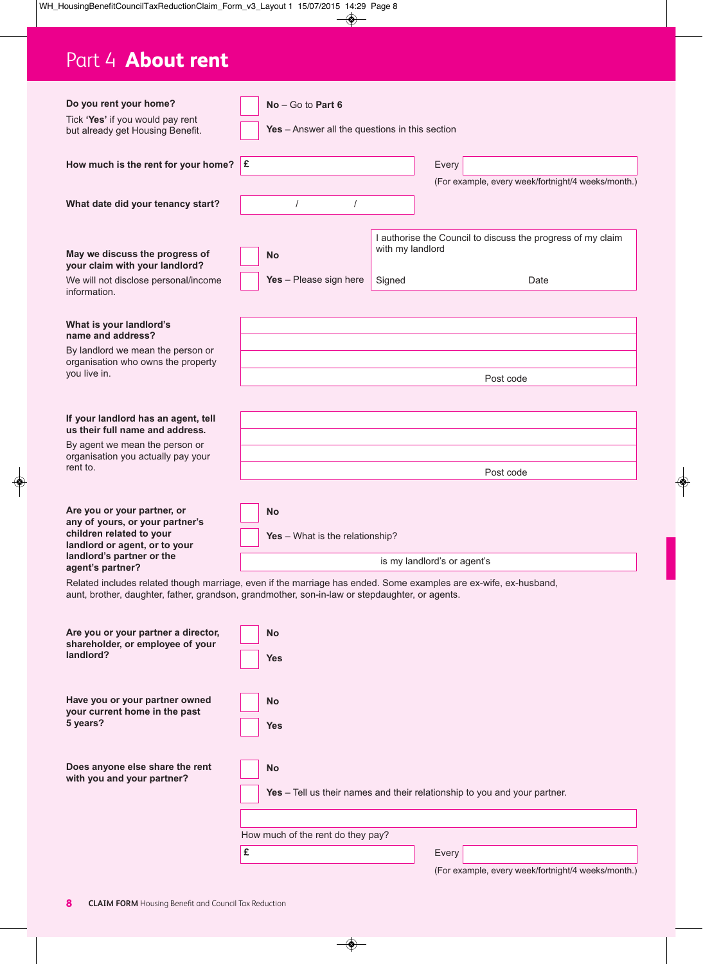# Part 4 **About rent**

| Do you rent your home?                                                                                           |                                                                           |                                                |                  |                                                             |  |  |  |  |
|------------------------------------------------------------------------------------------------------------------|---------------------------------------------------------------------------|------------------------------------------------|------------------|-------------------------------------------------------------|--|--|--|--|
| Tick 'Yes' if you would pay rent                                                                                 |                                                                           | $No - Go$ to Part 6                            |                  |                                                             |  |  |  |  |
| but already get Housing Benefit.                                                                                 |                                                                           | Yes - Answer all the questions in this section |                  |                                                             |  |  |  |  |
|                                                                                                                  | £                                                                         |                                                |                  |                                                             |  |  |  |  |
| How much is the rent for your home?                                                                              |                                                                           |                                                |                  | Every                                                       |  |  |  |  |
|                                                                                                                  |                                                                           |                                                |                  | (For example, every week/fortnight/4 weeks/month.)          |  |  |  |  |
| What date did your tenancy start?                                                                                |                                                                           | $\prime$<br>$\prime$                           |                  |                                                             |  |  |  |  |
|                                                                                                                  |                                                                           |                                                |                  |                                                             |  |  |  |  |
| May we discuss the progress of                                                                                   |                                                                           | <b>No</b>                                      | with my landlord | I authorise the Council to discuss the progress of my claim |  |  |  |  |
| your claim with your landlord?                                                                                   |                                                                           |                                                |                  |                                                             |  |  |  |  |
| We will not disclose personal/income<br>information.                                                             |                                                                           | Yes - Please sign here                         | Signed           | Date                                                        |  |  |  |  |
| What is your landlord's                                                                                          |                                                                           |                                                |                  |                                                             |  |  |  |  |
| name and address?                                                                                                |                                                                           |                                                |                  |                                                             |  |  |  |  |
| By landlord we mean the person or<br>organisation who owns the property                                          |                                                                           |                                                |                  |                                                             |  |  |  |  |
| you live in.                                                                                                     |                                                                           |                                                |                  | Post code                                                   |  |  |  |  |
|                                                                                                                  |                                                                           |                                                |                  |                                                             |  |  |  |  |
| If your landlord has an agent, tell<br>us their full name and address.                                           |                                                                           |                                                |                  |                                                             |  |  |  |  |
| By agent we mean the person or                                                                                   |                                                                           |                                                |                  |                                                             |  |  |  |  |
| organisation you actually pay your<br>rent to.                                                                   |                                                                           | Post code                                      |                  |                                                             |  |  |  |  |
|                                                                                                                  |                                                                           |                                                |                  |                                                             |  |  |  |  |
| Are you or your partner, or                                                                                      |                                                                           | <b>No</b>                                      |                  |                                                             |  |  |  |  |
| any of yours, or your partner's<br>children related to your                                                      |                                                                           |                                                |                  |                                                             |  |  |  |  |
| landlord or agent, or to your                                                                                    | Yes - What is the relationship?                                           |                                                |                  |                                                             |  |  |  |  |
| landlord's partner or the<br>agent's partner?                                                                    |                                                                           |                                                |                  | is my landlord's or agent's                                 |  |  |  |  |
| Related includes related though marriage, even if the marriage has ended. Some examples are ex-wife, ex-husband, |                                                                           |                                                |                  |                                                             |  |  |  |  |
| aunt, brother, daughter, father, grandson, grandmother, son-in-law or stepdaughter, or agents.                   |                                                                           |                                                |                  |                                                             |  |  |  |  |
| Are you or your partner a director,                                                                              |                                                                           | <b>No</b>                                      |                  |                                                             |  |  |  |  |
| shareholder, or employee of your<br>landlord?                                                                    |                                                                           | <b>Yes</b>                                     |                  |                                                             |  |  |  |  |
|                                                                                                                  |                                                                           |                                                |                  |                                                             |  |  |  |  |
|                                                                                                                  |                                                                           |                                                |                  |                                                             |  |  |  |  |
| Have you or your partner owned<br>your current home in the past                                                  |                                                                           | <b>No</b>                                      |                  |                                                             |  |  |  |  |
| 5 years?                                                                                                         |                                                                           | <b>Yes</b>                                     |                  |                                                             |  |  |  |  |
|                                                                                                                  |                                                                           |                                                |                  |                                                             |  |  |  |  |
| Does anyone else share the rent                                                                                  |                                                                           |                                                |                  |                                                             |  |  |  |  |
| with you and your partner?                                                                                       |                                                                           | No                                             |                  |                                                             |  |  |  |  |
|                                                                                                                  | Yes - Tell us their names and their relationship to you and your partner. |                                                |                  |                                                             |  |  |  |  |

How much of the rent do they pay?

**£**

Every

(For example, every week/fortnight/4 weeks/month.)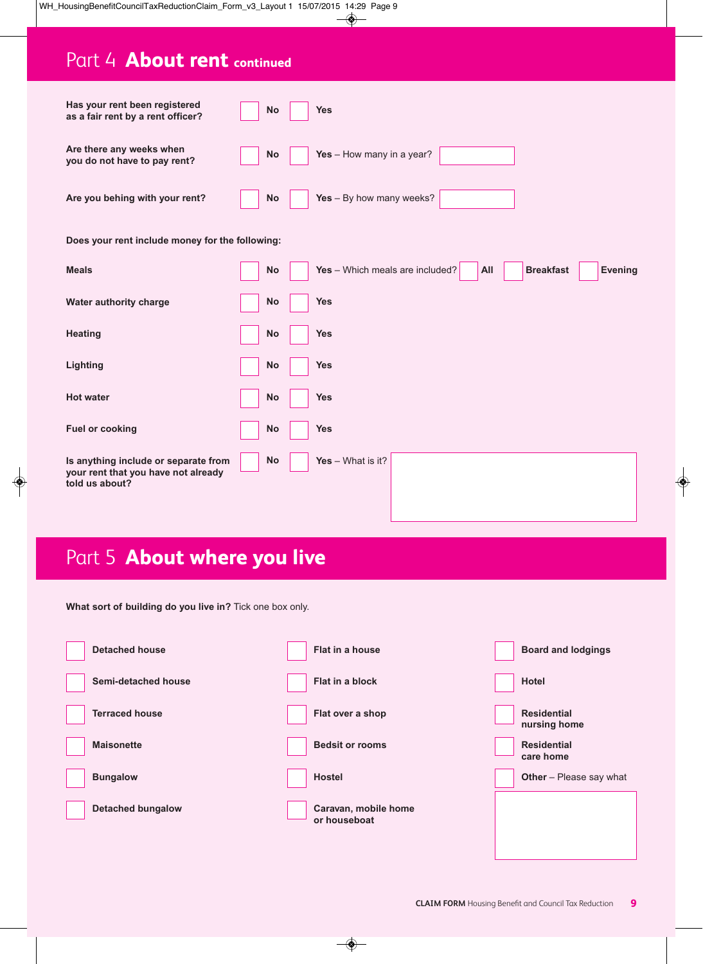# Part 4 **About rent continued**

| Has your rent been registered<br>as a fair rent by a rent officer?                            | <b>No</b> | <b>Yes</b>                                                                   |
|-----------------------------------------------------------------------------------------------|-----------|------------------------------------------------------------------------------|
| Are there any weeks when<br>you do not have to pay rent?                                      | <b>No</b> | Yes - How many in a year?                                                    |
| Are you behing with your rent?                                                                | <b>No</b> | Yes - By how many weeks?                                                     |
| Does your rent include money for the following:                                               |           |                                                                              |
| <b>Meals</b>                                                                                  | <b>No</b> | Yes - Which meals are included?<br><b>Breakfast</b><br><b>Evening</b><br>All |
| Water authority charge                                                                        | No        | <b>Yes</b>                                                                   |
| <b>Heating</b>                                                                                | No        | <b>Yes</b>                                                                   |
| Lighting                                                                                      | No        | <b>Yes</b>                                                                   |
| <b>Hot water</b>                                                                              | <b>No</b> | <b>Yes</b>                                                                   |
| <b>Fuel or cooking</b>                                                                        | No        | <b>Yes</b>                                                                   |
| Is anything include or separate from<br>your rent that you have not already<br>told us about? | <b>No</b> | Yes $-$ What is it?                                                          |

# Part 5 **About where you live**

**What sort of building do you live in?** Tick one box only.

| <b>Detached house</b>    | Flat in a house        |                      | <b>Board and lodgings</b>          |
|--------------------------|------------------------|----------------------|------------------------------------|
| Semi-detached house      | <b>Flat in a block</b> |                      | <b>Hotel</b>                       |
| <b>Terraced house</b>    | Flat over a shop       |                      | <b>Residential</b><br>nursing home |
| <b>Maisonette</b>        | <b>Bedsit or rooms</b> |                      | <b>Residential</b><br>care home    |
| <b>Bungalow</b>          | <b>Hostel</b>          |                      | Other - Please say what            |
| <b>Detached bungalow</b> | or houseboat           | Caravan, mobile home |                                    |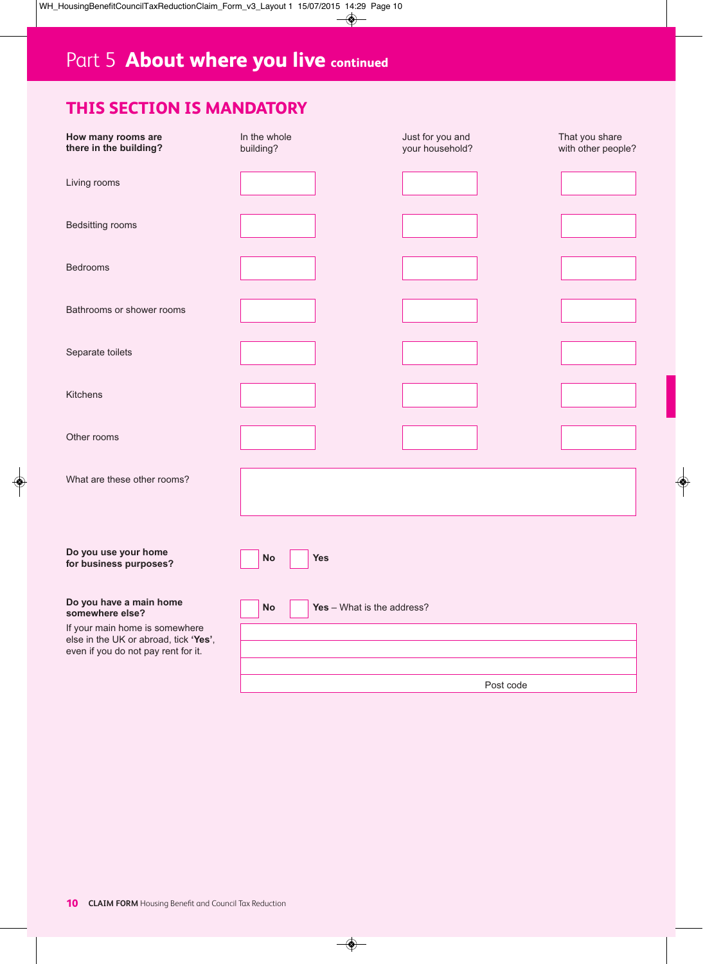### **THIS SECTION IS MANDATORY**

| How many rooms are<br>there in the building?                                                                   | In the whole<br>building?        | Just for you and<br>your household? | That you share<br>with other people? |
|----------------------------------------------------------------------------------------------------------------|----------------------------------|-------------------------------------|--------------------------------------|
| Living rooms                                                                                                   |                                  |                                     |                                      |
| Bedsitting rooms                                                                                               |                                  |                                     |                                      |
| Bedrooms                                                                                                       |                                  |                                     |                                      |
| Bathrooms or shower rooms                                                                                      |                                  |                                     |                                      |
| Separate toilets                                                                                               |                                  |                                     |                                      |
| Kitchens                                                                                                       |                                  |                                     |                                      |
| Other rooms                                                                                                    |                                  |                                     |                                      |
| What are these other rooms?                                                                                    |                                  |                                     |                                      |
|                                                                                                                |                                  |                                     |                                      |
| Do you use your home<br>for business purposes?                                                                 | No<br><b>Yes</b>                 |                                     |                                      |
| Do you have a main home<br>somewhere else?                                                                     | Yes - What is the address?<br>No |                                     |                                      |
| If your main home is somewhere<br>else in the UK or abroad, tick 'Yes',<br>even if you do not pay rent for it. |                                  |                                     |                                      |
|                                                                                                                |                                  | Post code                           |                                      |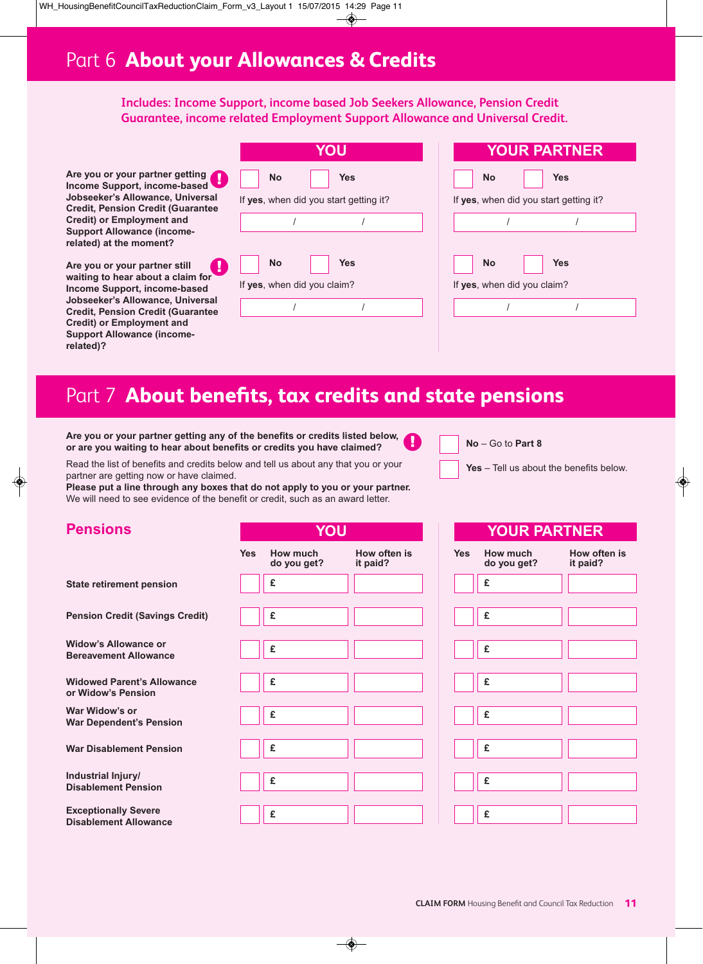### Part 6 **About your Allowances & Credits**

### **Includes: Income Support, income based Job Seekers Allowance, Pension Credit Guarantee, income related Employment Support Allowance and Universal Credit.**

**Are you or your partner getting Income Support, income-based Jobseeker's Allowance, Universal Credit, Pension Credit (Guarantee Credit) or Employment and Support Allowance (incomerelated) at the moment?**

**Are you or your partner still waiting to hear about a claim for Income Support, income-based Jobseeker's Allowance, Universal Credit, Pension Credit (Guarantee Credit) or Employment and Support Allowance (incomerelated)?**

|                                          | JU                                     |  |
|------------------------------------------|----------------------------------------|--|
| <b>No</b>                                | <b>Yes</b>                             |  |
|                                          | If yes, when did you start getting it? |  |
|                                          |                                        |  |
| <b>No</b><br>If yes, when did you claim? | <b>Yes</b>                             |  |
|                                          |                                        |  |
|                                          |                                        |  |

| <b>YOUR PARTNER</b>                             |     |  |  |  |  |
|-------------------------------------------------|-----|--|--|--|--|
| <b>No</b>                                       | Yes |  |  |  |  |
| If yes, when did you start getting it?          |     |  |  |  |  |
|                                                 |     |  |  |  |  |
| <b>No</b><br>Yes<br>If yes, when did you claim? |     |  |  |  |  |
|                                                 |     |  |  |  |  |
|                                                 |     |  |  |  |  |

# Part 7 **About benefits, tax credits and state pensions**

**Are you or your partner getting any of the benefits or credits listed below, or are you waiting to hear about benefits or credits you have claimed?**

Read the list of benefits and credits below and tell us about any that you or your partner are getting now or have claimed.

**Please put a line through any boxes that do not apply to you or your partner.** We will need to see evidence of the benefit or credit, such as an award letter.

**Yes How much**

- **No** Go to **Part 8**
- **Yes** Tell us about the benefits below.

**How often is it paid?**

**YOUR PARTNER**

### **Pensions**

|                                                      | res | <b>HOW MUCH</b><br>do you get? |
|------------------------------------------------------|-----|--------------------------------|
| <b>State retirement pension</b>                      |     | £                              |
|                                                      |     |                                |
| <b>Pension Credit (Savings Credit)</b>               |     | £                              |
|                                                      |     |                                |
| Widow's Allowance or<br><b>Bereavement Allowance</b> |     | £                              |
|                                                      |     |                                |
| <b>Widowed Parent's Allowance</b>                    |     | £                              |
| or Widow's Pension                                   |     |                                |
| War Widow's or<br><b>War Dependent's Pension</b>     |     | £                              |
|                                                      |     |                                |
| <b>War Disablement Pension</b>                       |     | £                              |
|                                                      |     |                                |
| Industrial Injury/<br><b>Disablement Pension</b>     |     | £                              |
|                                                      |     |                                |
| <b>Exceptionally Severe</b>                          |     | £                              |
| <b>Disablement Allowance</b>                         |     |                                |

| YOU     |                          |            | <b>YOUR I</b>           |
|---------|--------------------------|------------|-------------------------|
| າ<br>t? | How often is<br>it paid? | <b>Yes</b> | How much<br>do you get? |
|         |                          |            | £                       |
|         |                          |            |                         |
|         |                          |            | £                       |
|         |                          |            |                         |
|         |                          |            | £                       |
|         |                          |            |                         |
|         |                          |            | £                       |
|         |                          |            |                         |
|         |                          |            | £                       |
|         |                          |            |                         |
|         |                          |            | £                       |
|         |                          |            |                         |
|         |                          |            | £                       |
|         |                          |            |                         |
|         |                          |            | £                       |
|         |                          |            |                         |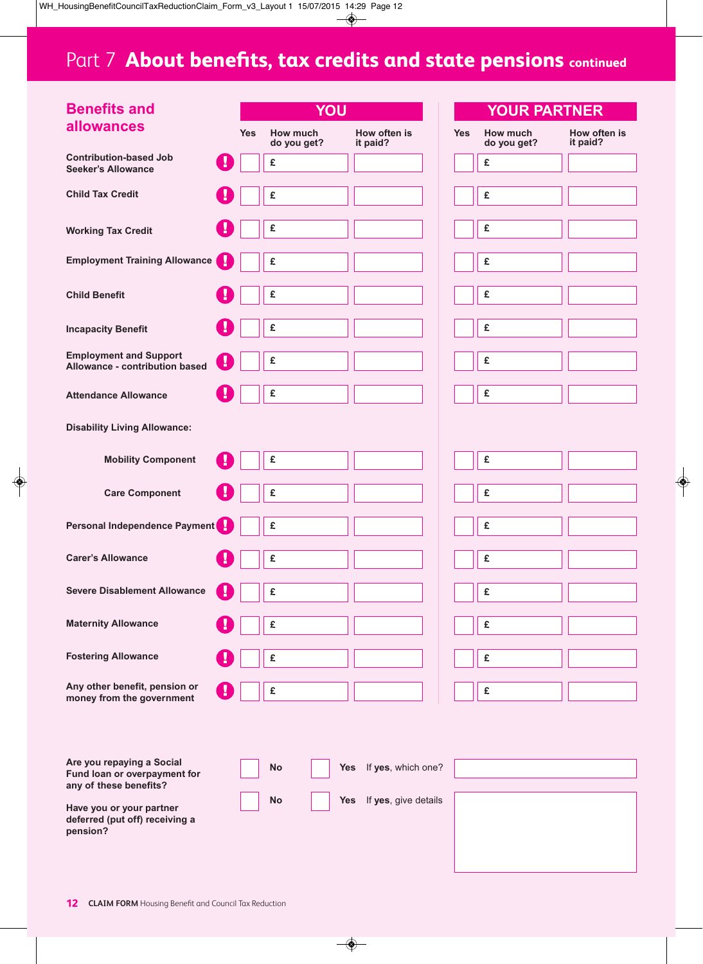# Part 7 **About benefits, tax credits and state pensions continued**

| <b>Benefits and</b>                                                    |   |                                       | YOU        |                          |  |            | <b>YOUR PARTNER</b>     |
|------------------------------------------------------------------------|---|---------------------------------------|------------|--------------------------|--|------------|-------------------------|
| allowances                                                             |   | How much<br><b>Yes</b><br>do you get? |            | How often is<br>it paid? |  | <b>Yes</b> | How much<br>do you get? |
| <b>Contribution-based Job</b><br><b>Seeker's Allowance</b>             |   | £                                     |            |                          |  |            | £                       |
| <b>Child Tax Credit</b>                                                |   | £                                     |            |                          |  |            | £                       |
| <b>Working Tax Credit</b>                                              |   | £                                     |            |                          |  |            | £                       |
| <b>Employment Training Allowance</b>                                   | y | £                                     |            |                          |  |            | £                       |
| <b>Child Benefit</b>                                                   |   | £                                     |            |                          |  |            | £                       |
| <b>Incapacity Benefit</b>                                              |   | £                                     |            |                          |  |            | £                       |
| <b>Employment and Support</b><br>Allowance - contribution based        |   | £                                     |            |                          |  |            | £                       |
| <b>Attendance Allowance</b>                                            |   | £                                     |            |                          |  |            | £                       |
| <b>Disability Living Allowance:</b>                                    |   |                                       |            |                          |  |            |                         |
| <b>Mobility Component</b>                                              |   | £                                     |            |                          |  |            | £                       |
| <b>Care Component</b>                                                  |   | £                                     |            |                          |  |            | £                       |
| Personal Independence Payment                                          |   | £                                     |            |                          |  |            | £                       |
| <b>Carer's Allowance</b>                                               | н | £                                     |            |                          |  |            | £                       |
| <b>Severe Disablement Allowance</b>                                    |   | £                                     |            |                          |  |            | £                       |
| <b>Maternity Allowance</b>                                             |   | £                                     |            |                          |  |            | £                       |
| <b>Fostering Allowance</b>                                             |   | £                                     |            |                          |  |            | £                       |
| Any other benefit, pension or<br>money from the government             |   | £                                     |            |                          |  |            | £                       |
|                                                                        |   |                                       |            |                          |  |            |                         |
| Are you repaying a Social                                              |   |                                       |            |                          |  |            |                         |
| Fund loan or overpayment for<br>any of these benefits?                 |   | No                                    | Yes        | If yes, which one?       |  |            |                         |
| Have you or your partner<br>deferred (put off) receiving a<br>pension? |   | No                                    | <b>Yes</b> | If yes, give details     |  |            |                         |
|                                                                        |   |                                       |            |                          |  |            |                         |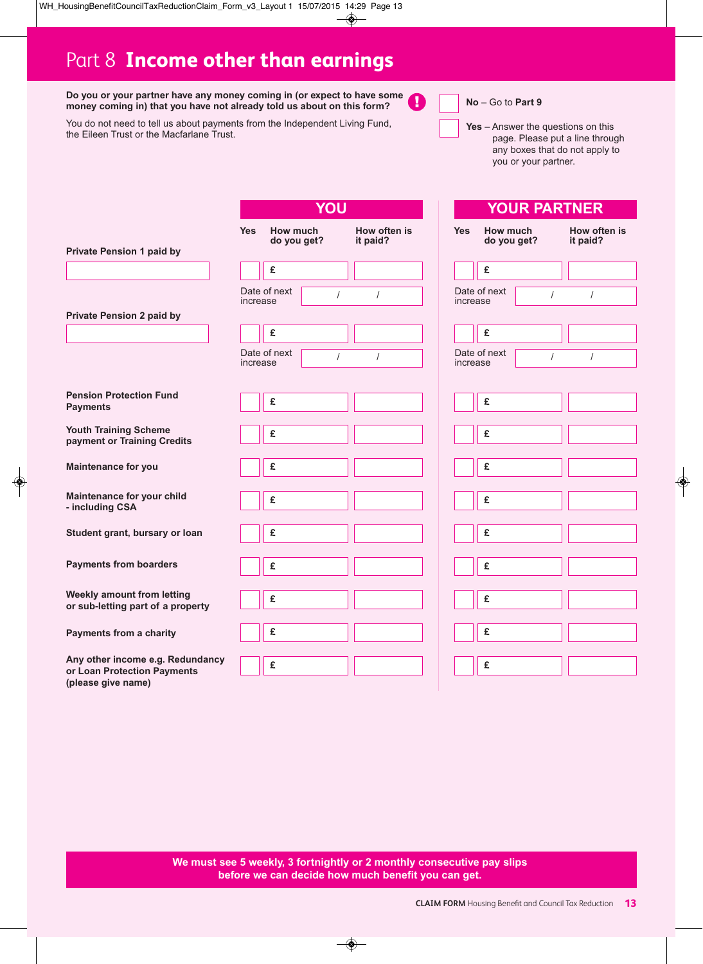# Part 8 **Income other than earnings**

**Do you or your partner have any money coming in (or expect to have some money coming in) that you have not already told us about on this form?**

You do not need to tell us about payments from the Independent Living Fund, the Eileen Trust or the Macfarlane Trust.

|                                                   |            | YOU                            |                          |
|---------------------------------------------------|------------|--------------------------------|--------------------------|
|                                                   | <b>Yes</b> | How much<br>do you get?        | How often is<br>it paid? |
| <b>Private Pension 1 paid by</b>                  |            |                                |                          |
|                                                   |            | £                              |                          |
|                                                   | increase   | Date of next<br>$\overline{I}$ | $\sqrt{ }$               |
| <b>Private Pension 2 paid by</b>                  |            |                                |                          |
|                                                   |            | £                              |                          |
|                                                   | increase   | Date of next<br>$\overline{I}$ | $\prime$                 |
|                                                   |            |                                |                          |
| <b>Pension Protection Fund</b><br><b>Payments</b> |            | £                              |                          |
| <b>Youth Training Scheme</b>                      |            | £                              |                          |
| payment or Training Credits                       |            |                                |                          |
| <b>Maintenance for you</b>                        |            | £                              |                          |
| Maintenance for your child                        |            | £                              |                          |
| - including CSA                                   |            |                                |                          |
| Student grant, bursary or loan                    |            | £                              |                          |
|                                                   |            |                                |                          |
| <b>Payments from boarders</b>                     |            | £                              |                          |
| <b>Weekly amount from letting</b>                 |            | £                              |                          |
| or sub-letting part of a property                 |            |                                |                          |
| <b>Payments from a charity</b>                    |            | £                              |                          |
| Any other income e.g. Redundancy                  |            |                                |                          |
| or Loan Protection Payments<br>(please give name) |            | £                              |                          |

**No** – Go to **Part 9**

Ţ

**Yes** – Answer the questions on this

you or your partner.

page. Please put a line through any boxes that do not apply to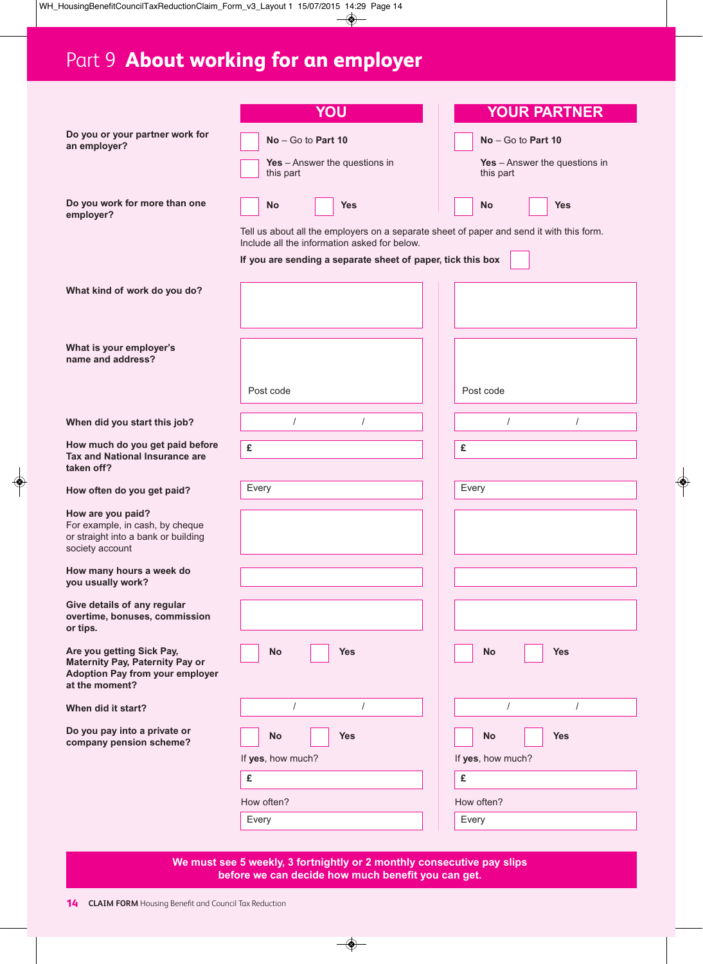# Part 9 **About working for an employer**

|                                                                                                                                 | YOU                                                                                                                                      | <b>YOUR PARTNER</b>                          |
|---------------------------------------------------------------------------------------------------------------------------------|------------------------------------------------------------------------------------------------------------------------------------------|----------------------------------------------|
| Do you or your partner work for<br>an employer?                                                                                 | $No - Go$ to Part 10                                                                                                                     | $No - Go$ to Part 10                         |
|                                                                                                                                 | Yes - Answer the questions in<br>this part                                                                                               | Yes $-$ Answer the questions in<br>this part |
| Do you work for more than one<br>employer?                                                                                      | <b>No</b><br><b>Yes</b>                                                                                                                  | <b>No</b><br><b>Yes</b>                      |
|                                                                                                                                 | Tell us about all the employers on a separate sheet of paper and send it with this form.<br>Include all the information asked for below. |                                              |
|                                                                                                                                 | If you are sending a separate sheet of paper, tick this box                                                                              |                                              |
| What kind of work do you do?                                                                                                    |                                                                                                                                          |                                              |
|                                                                                                                                 |                                                                                                                                          |                                              |
| What is your employer's<br>name and address?                                                                                    |                                                                                                                                          |                                              |
|                                                                                                                                 | Post code                                                                                                                                | Post code                                    |
| When did you start this job?                                                                                                    | $\prime$                                                                                                                                 | $\prime$                                     |
| How much do you get paid before<br><b>Tax and National Insurance are</b><br>taken off?                                          | £                                                                                                                                        | £                                            |
| How often do you get paid?                                                                                                      | Every                                                                                                                                    | Every                                        |
| How are you paid?<br>For example, in cash, by cheque<br>or straight into a bank or building<br>society account                  |                                                                                                                                          |                                              |
| How many hours a week do<br>you usually work?                                                                                   |                                                                                                                                          |                                              |
| Give details of any regular<br>overtime, bonuses, commission<br>or tips.                                                        |                                                                                                                                          |                                              |
| Are you getting Sick Pay,<br><b>Maternity Pay, Paternity Pay or</b><br><b>Adoption Pay from your employer</b><br>at the moment? | <b>No</b><br><b>Yes</b>                                                                                                                  | No<br><b>Yes</b>                             |
| When did it start?                                                                                                              | $\sqrt{ }$<br>$\prime$                                                                                                                   | $\prime$<br>$\prime$                         |
| Do you pay into a private or<br>company pension scheme?                                                                         | <b>No</b><br><b>Yes</b>                                                                                                                  | <b>No</b><br><b>Yes</b>                      |
|                                                                                                                                 | If yes, how much?                                                                                                                        | If yes, how much?                            |
|                                                                                                                                 | £                                                                                                                                        | £                                            |
|                                                                                                                                 | How often?                                                                                                                               | How often?                                   |
|                                                                                                                                 | Every                                                                                                                                    | Every                                        |

**We must see 5 weekly, 3 fortnightly or 2 monthly consecutive pay slips before we can decide how much benefit you can get.**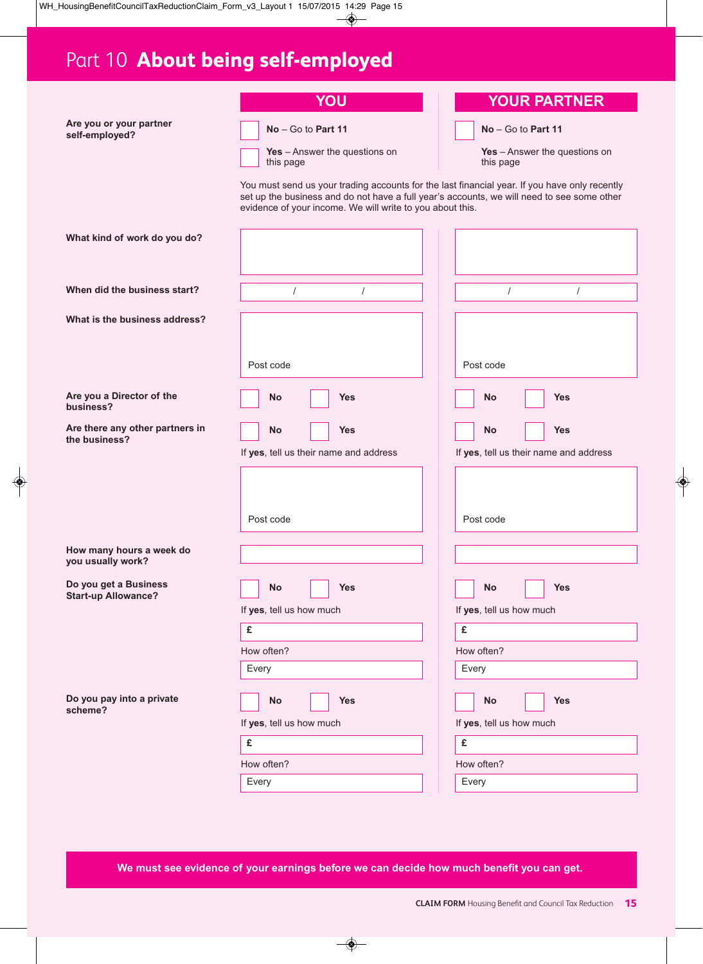# Part 10 **About being self-employed**

**Are you or your partner self-employed?**

| <b>Contract Contract Contract Contract Contract Contract Contract Contract Contract Contract Contract Contract Co</b> | _ | - |  |
|-----------------------------------------------------------------------------------------------------------------------|---|---|--|

**No** – Go to **Part 11**

**Yes** – Answer the questions on this page

### **YOUR PARTNER**

**No** – Go to **Part 11**

**Yes** – Answer the questions on this page

You must send us your trading accounts for the last financial year. If you have only recently set up the business and do not have a full year's accounts, we will need to see some other evidence of your income. We will write to you about this.

| What kind of work do you do?                        |                                                                                                                                                          |                                                                                                                                 |
|-----------------------------------------------------|----------------------------------------------------------------------------------------------------------------------------------------------------------|---------------------------------------------------------------------------------------------------------------------------------|
| When did the business start?                        | $\prime$<br>$\prime$                                                                                                                                     | $\prime$<br>$\prime$                                                                                                            |
| What is the business address?                       | Post code                                                                                                                                                | Post code                                                                                                                       |
| Are you a Director of the<br>business?              | No<br><b>Yes</b>                                                                                                                                         | <b>Yes</b><br><b>No</b>                                                                                                         |
| Are there any other partners in<br>the business?    | <b>Yes</b><br>No<br>If yes, tell us their name and address<br>Post code                                                                                  | <b>Yes</b><br>No<br>If yes, tell us their name and address<br>Post code                                                         |
| How many hours a week do<br>you usually work?       |                                                                                                                                                          |                                                                                                                                 |
| Do you get a Business<br><b>Start-up Allowance?</b> | No<br><b>Yes</b><br>If yes, tell us how much<br>£<br>How often?                                                                                          | <b>Yes</b><br>No<br>If yes, tell us how much<br>£<br>How often?<br>Every                                                        |
| Do you pay into a private<br>scheme?                | Every<br><b>No</b><br><b>Yes</b><br>المسا<br><u> 1999 - Jan James Barnett, politik politik (</u><br>If yes, tell us how much<br>£<br>How often?<br>Every | <b>Yes</b><br><b>No</b><br>المسا<br>the contract of the contract of the<br>If yes, tell us how much<br>£<br>How often?<br>Every |

**We must see evidence of your earnings before we can decide how much benefit you can get.**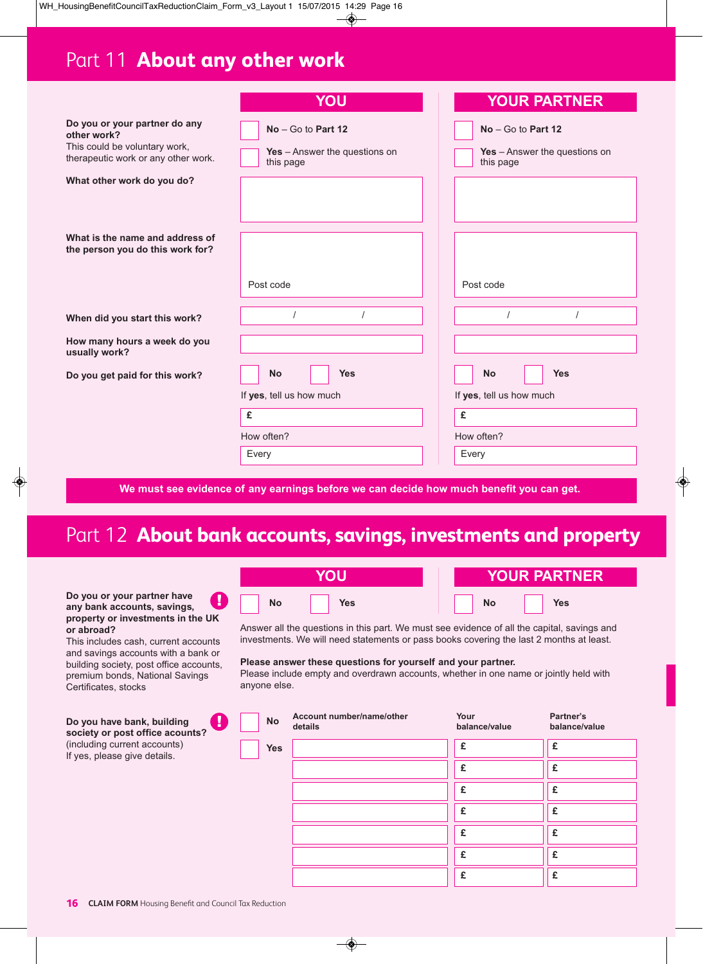# Part 11 **About any other work**

|                                                                                                                      | YOU                                                                                     | <b>YOUR PARTNER</b>                                                |
|----------------------------------------------------------------------------------------------------------------------|-----------------------------------------------------------------------------------------|--------------------------------------------------------------------|
| Do you or your partner do any<br>other work?<br>This could be voluntary work,<br>therapeutic work or any other work. | $No - Go$ to Part 12<br>Yes - Answer the questions on<br>this page                      | $No - Go$ to Part 12<br>Yes - Answer the questions on<br>this page |
| What other work do you do?                                                                                           |                                                                                         |                                                                    |
|                                                                                                                      |                                                                                         |                                                                    |
| What is the name and address of<br>the person you do this work for?                                                  |                                                                                         |                                                                    |
|                                                                                                                      | Post code                                                                               | Post code                                                          |
| When did you start this work?                                                                                        |                                                                                         |                                                                    |
| How many hours a week do you<br>usually work?                                                                        |                                                                                         |                                                                    |
| Do you get paid for this work?                                                                                       | <b>Yes</b><br><b>No</b>                                                                 | <b>Yes</b><br><b>No</b>                                            |
|                                                                                                                      | If yes, tell us how much                                                                | If yes, tell us how much                                           |
|                                                                                                                      | £                                                                                       | £                                                                  |
|                                                                                                                      | How often?                                                                              | How often?                                                         |
|                                                                                                                      | Every                                                                                   | Every                                                              |
|                                                                                                                      | We must see evidence of any earnings before we can decide how much benefit you can get. |                                                                    |

### Part 12 **About bank accounts, savings, investments and property**

| Do you or your partner have       |  |
|-----------------------------------|--|
| any bank accounts, savings,       |  |
| property or investments in the UK |  |
| or abroad?                        |  |

This includes cash, current accounts and savings accounts with a bank or building society, post office accounts, premium bonds, National Savings Certificates, stocks

**Do you have bank, building society or post office acounts?**  $(inc)$ If ye

|            | <b>YOUR PARTNER</b> |
|------------|---------------------|
| <b>Yes</b> | Yes                 |
| <b>No</b>  | <b>No</b>           |

Answer all the questions in this part. We must see evidence of all the capital, savings and investments. We will need statements or pass books covering the last 2 months at least.

### **Please answer these questions for yourself and your partner.**

Please include empty and overdrawn accounts, whether in one name or jointly held with anyone else.

| you have bank, building<br>- 11<br>iety or post office acounts? | <b>No</b>  | Account number/name/other<br>details | Your<br>balance/value | Partner's<br>balance/value |
|-----------------------------------------------------------------|------------|--------------------------------------|-----------------------|----------------------------|
| luding current accounts)<br>es, please give details.            | <b>Yes</b> |                                      | £                     | £                          |
|                                                                 |            |                                      | £                     |                            |
|                                                                 |            |                                      | £                     | £                          |
|                                                                 |            |                                      | £                     | £                          |
|                                                                 |            |                                      | £                     | £                          |
|                                                                 |            |                                      | £                     | £                          |
|                                                                 |            |                                      | £                     | £                          |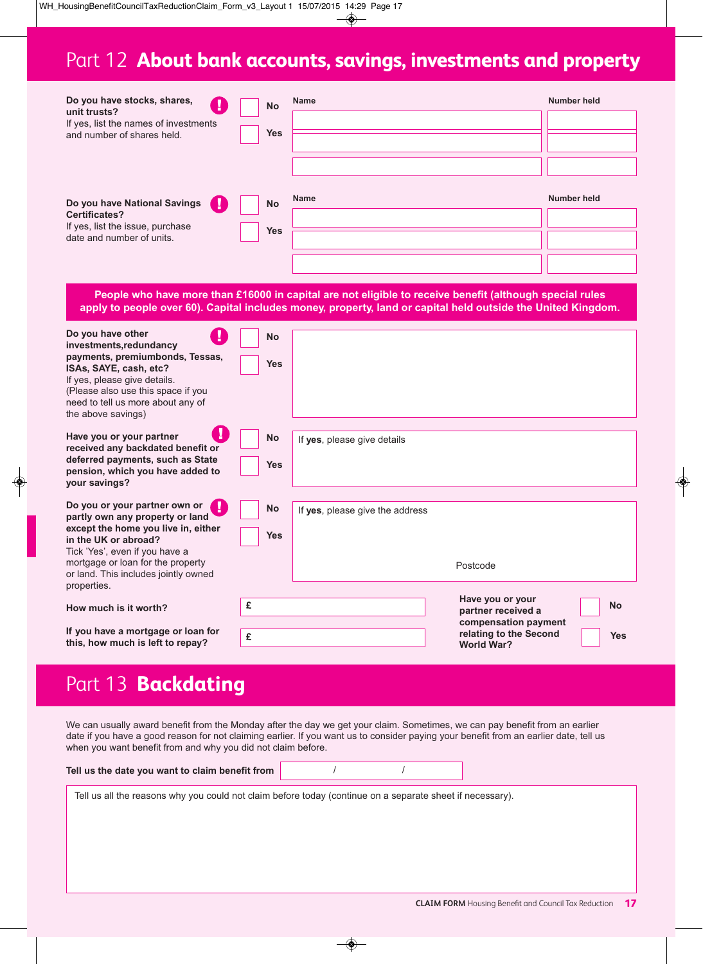# Part 12 **About bank accounts, savings, investments and property**

| Do you have stocks, shares,<br>Ч<br>unit trusts?<br>If yes, list the names of investments<br>and number of shares held. | <b>No</b><br><b>Yes</b> | Name        | <b>Number held</b> |
|-------------------------------------------------------------------------------------------------------------------------|-------------------------|-------------|--------------------|
| Do you have National Savings<br>W                                                                                       | <b>No</b>               | <b>Name</b> | <b>Number held</b> |
| <b>Certificates?</b><br>If yes, list the issue, purchase<br>date and number of units.                                   | <b>Yes</b>              |             |                    |

**People who have more than £16000 in capital are not eligible to receive benefit (although special rules** apply to people over 60). Capital includes money, property, land or capital held outside the United Kingdom.

| Do you have other<br>investments, redundancy<br>payments, premiumbonds, Tessas,<br>ISAs, SAYE, cash, etc?<br>If yes, please give details.<br>(Please also use this space if you<br>need to tell us more about any of<br>the above savings)                    | <b>No</b><br><b>Yes</b> |                                             |                                                                                                                                          |  |
|---------------------------------------------------------------------------------------------------------------------------------------------------------------------------------------------------------------------------------------------------------------|-------------------------|---------------------------------------------|------------------------------------------------------------------------------------------------------------------------------------------|--|
| Have you or your partner<br>received any backdated benefit or<br>deferred payments, such as State<br>pension, which you have added to<br>your savings?                                                                                                        | <b>No</b><br><b>Yes</b> | If yes, please give details                 |                                                                                                                                          |  |
| Do you or your partner own or<br>partly own any property or land<br>except the home you live in, either<br>in the UK or abroad?<br>Tick 'Yes', even if you have a<br>mortgage or loan for the property<br>or land. This includes jointly owned<br>properties. | No<br><b>Yes</b>        | If yes, please give the address<br>Postcode |                                                                                                                                          |  |
| How much is it worth?<br>If you have a mortgage or loan for<br>this, how much is left to repay?                                                                                                                                                               | £<br>£                  |                                             | Have you or your<br><b>No</b><br>partner received a<br>compensation payment<br>relating to the Second<br><b>Yes</b><br><b>World War?</b> |  |

### Part 13 **Backdating**

We can usually award benefit from the Monday after the day we get your claim. Sometimes, we can pay benefit from an earlier date if you have a good reason for not claiming earlier. If you want us to consider paying your benefit from an earlier date, tell us when you want benefit from and why you did not claim before.

|--|--|

Tell us all the reasons why you could not claim before today (continue on a separate sheet if necessary).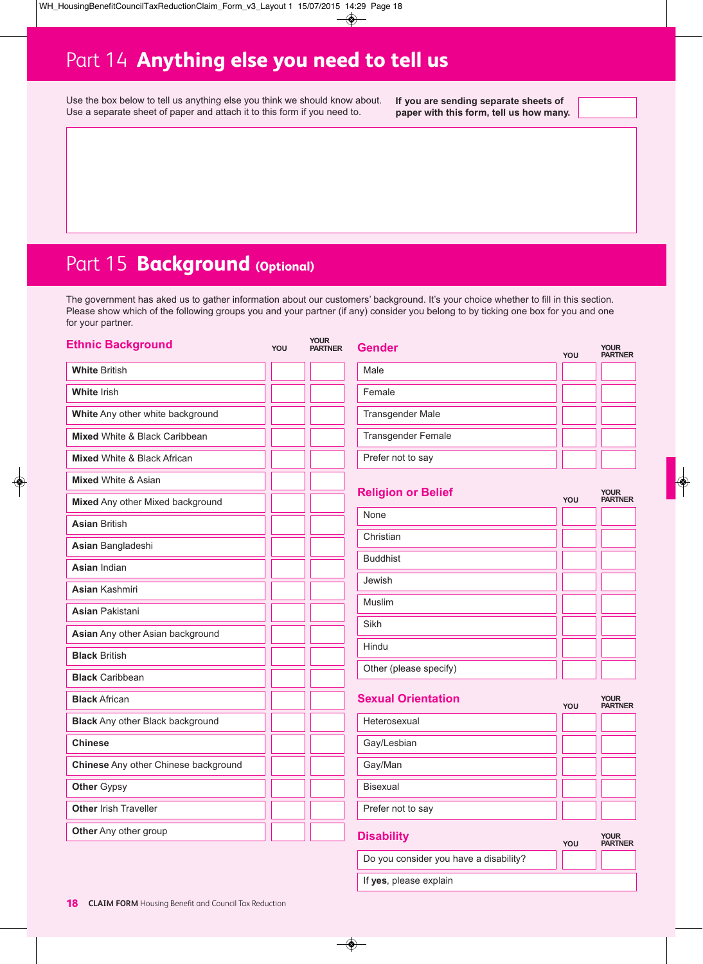# Part 14 **Anything else you need to tell us**

Use the box below to tell us anything else you think we should know about. Use a separate sheet of paper and attach it to this form if you need to.

**If you are sending separate sheets of paper with this form, tell us how many.**

|  | Part 15 <b>Background</b> (Optional) |  |  |  |
|--|--------------------------------------|--|--|--|
|--|--------------------------------------|--|--|--|

The government has aked us to gather information about our customers' background. It's your choice whether to fill in this section. Please show which of the following groups you and your partner (if any) consider you belong to by ticking one box for you and one for your partner.

| <b>Ethnic Background</b>                | YOU | Your<br><b>PARTNER</b> | <b>Gender</b>             | YOU | <b>YOUR</b><br><b>PARTNER</b> |
|-----------------------------------------|-----|------------------------|---------------------------|-----|-------------------------------|
| <b>White British</b>                    |     |                        | Male                      |     |                               |
| <b>White Irish</b>                      |     |                        | Female                    |     |                               |
| White Any other white background        |     |                        | <b>Transgender Male</b>   |     |                               |
| Mixed White & Black Caribbean           |     |                        | <b>Transgender Female</b> |     |                               |
| Mixed White & Black African             |     |                        | Prefer not to say         |     |                               |
| <b>Mixed White &amp; Asian</b>          |     |                        |                           |     |                               |
| Mixed Any other Mixed background        |     |                        | <b>Religion or Belief</b> | YOU | <b>YOUR</b><br><b>PARTNER</b> |
| <b>Asian British</b>                    |     |                        | None                      |     |                               |
| Asian Bangladeshi                       |     |                        | Christian                 |     |                               |
| <b>Asian Indian</b>                     |     |                        | <b>Buddhist</b>           |     |                               |
| <b>Asian Kashmiri</b>                   |     |                        | Jewish                    |     |                               |
| <b>Asian</b> Pakistani                  |     |                        | Muslim                    |     |                               |
| Asian Any other Asian background        |     |                        | Sikh                      |     |                               |
| <b>Black British</b>                    |     |                        | Hindu                     |     |                               |
| <b>Black Caribbean</b>                  |     |                        | Other (please specify)    |     |                               |
| <b>Black African</b>                    |     |                        | <b>Sexual Orientation</b> | YOU | <b>YOUR</b><br><b>PARTNER</b> |
| <b>Black</b> Any other Black background |     |                        | Heterosexual              |     |                               |
| <b>Chinese</b>                          |     |                        | Gay/Lesbian               |     |                               |
| Chinese Any other Chinese background    |     |                        | Gay/Man                   |     |                               |
| <b>Other Gypsy</b>                      |     |                        | Bisexual                  |     |                               |
| Other Irish Traveller                   |     |                        | Prefer not to say         |     |                               |
| Other Any other group                   |     |                        | <b>Disability</b>         | YOU | <b>YOUR</b><br><b>PARTNER</b> |

Do you consider you have a disability?

If **yes**, please explain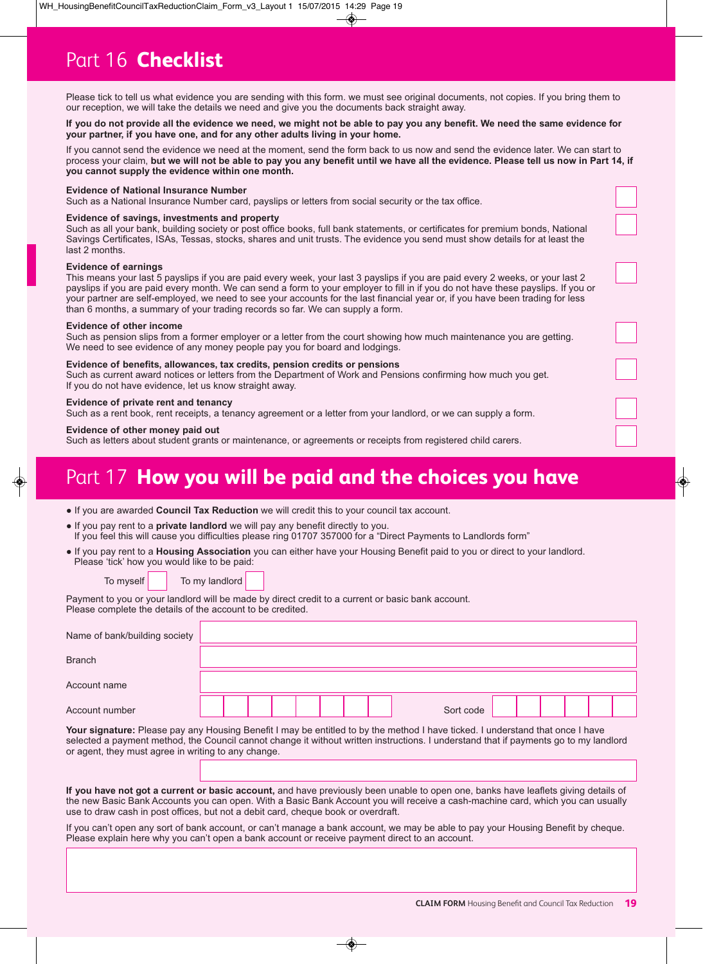Please tick to tell us what evidence you are sending with this form. we must see original documents, not copies. If you bring them to our reception, we will take the details we need and give you the documents back straight away.

#### If you do not provide all the evidence we need, we might not be able to pay you any benefit. We need the same evidence for **your partner, if you have one, and for any other adults living in your home.**

If you cannot send the evidence we need at the moment, send the form back to us now and send the evidence later. We can start to process your claim, but we will not be able to pay you any benefit until we have all the evidence. Please tell us now in Part 14, if **you cannot supply the evidence within one month.**

### **Evidence of National Insurance Number**

Such as a National Insurance Number card, payslips or letters from social security or the tax office.

#### **Evidence of savings, investments and property**

Such as all your bank, building society or post office books, full bank statements, or certificates for premium bonds, National Savings Certificates, ISAs, Tessas, stocks, shares and unit trusts. The evidence you send must show details for at least the last 2 months.

#### **Evidence of earnings**

This means your last 5 payslips if you are paid every week, your last 3 payslips if you are paid every 2 weeks, or your last 2 payslips if you are paid every month. We can send a form to your employer to fill in if you do not have these payslips. If you or your partner are self-employed, we need to see your accounts for the last financial year or, if you have been trading for less than 6 months, a summary of your trading records so far. We can supply a form.

#### **Evidence of other income**

Such as pension slips from a former employer or a letter from the court showing how much maintenance you are getting. We need to see evidence of any money people pay you for board and lodgings.

#### **Evidence of benefits, allowances, tax credits, pension credits or pensions**

Such as current award notices or letters from the Department of Work and Pensions confirming how much you get. If you do not have evidence, let us know straight away.

#### **Evidence of private rent and tenancy**

Such as a rent book, rent receipts, a tenancy agreement or a letter from your landlord, or we can supply a form.

#### **Evidence of other money paid out**

Such as letters about student grants or maintenance, or agreements or receipts from registered child carers.

### Part 17 **How you will be paid and the choices you have**

| . If you are awarded Council Tax Reduction we will credit this to your council tax account. |
|---------------------------------------------------------------------------------------------|
|---------------------------------------------------------------------------------------------|

- If you pay rent to a **private landlord** we will pay any benefit directly to you. If you feel this will cause you difficulties please ring 01707 357000 for a "Direct Payments to Landlords form"
- If you pay rent to a **Housing Association** you can either have your Housing Benefit paid to you or direct to your landlord. Please 'tick' how you would like to be paid:

To myself To my landlord

Payment to you or your landlord will be made by direct credit to a current or basic bank account. Please complete the details of the account to be credited.

| Name of bank/building society                                                                                             |  |  |  |  |  |  |  |           |  |  |  |  |
|---------------------------------------------------------------------------------------------------------------------------|--|--|--|--|--|--|--|-----------|--|--|--|--|
| <b>Branch</b>                                                                                                             |  |  |  |  |  |  |  |           |  |  |  |  |
| Account name                                                                                                              |  |  |  |  |  |  |  |           |  |  |  |  |
| Account number                                                                                                            |  |  |  |  |  |  |  | Sort code |  |  |  |  |
| Your signature: Plasse pay any Housing Repetit Lmay be entitled to by the method Lhave ticked Lunderstand that once Lhave |  |  |  |  |  |  |  |           |  |  |  |  |

**Your signature:** Please pay any Housing Benefit I may be entitled to by the method I have ticked. I understand that once I have selected a payment method, the Council cannot change it without written instructions. I understand that if payments go to my landlord or agent, they must agree in writing to any change.

**If you have not got a current or basic account,** and have previously been unable to open one, banks have leaflets giving details of the new Basic Bank Accounts you can open. With a Basic Bank Account you will receive a cash-machine card, which you can usually use to draw cash in post offices, but not a debit card, cheque book or overdraft.

If you can't open any sort of bank account, or can't manage a bank account, we may be able to pay your Housing Benefit by cheque. Please explain here why you can't open a bank account or receive payment direct to an account.